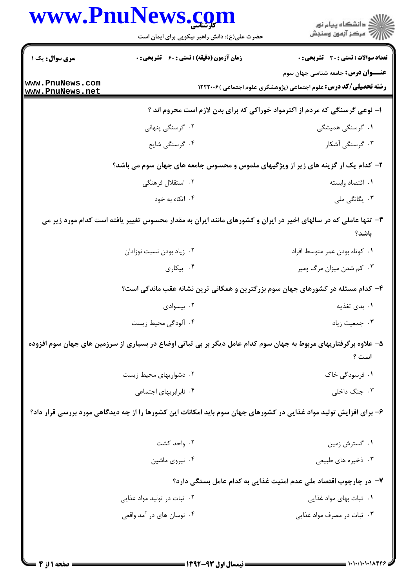|                                                                            | www.PnuNews.com<br>حضرت علی(ع): دانش راهبر نیکویی برای ایمان است                                                  | ڪ دانشڪاه پيا <sub>م</sub> نور<br>∕ مرڪز آزمون وسنڊش                                                                 |  |  |
|----------------------------------------------------------------------------|-------------------------------------------------------------------------------------------------------------------|----------------------------------------------------------------------------------------------------------------------|--|--|
| <b>سری سوال :</b> یک ۱                                                     | <b>زمان آزمون (دقیقه) : تستی : 60 ٪ تشریحی : 0</b>                                                                | تعداد سوالات : تستى : 30 - تشريحي : 0                                                                                |  |  |
| www.PnuNews.com<br>www.PnuNews.net                                         |                                                                                                                   | <b>عنـــوان درس:</b> جامعه شناسی جهان سوم<br><b>رشته تحصیلی/کد درس:</b> علوم اجتماعی (پژوهشگری علوم اجتماعی )۱۲۲۲۰۰۶ |  |  |
| ا- نوعی گرسنگی که مردم از اکثرمواد خوراکی که برای بدن لازم است محروم اند ؟ |                                                                                                                   |                                                                                                                      |  |  |
|                                                                            | ۰۲ گرسنگی پنهانی                                                                                                  | ۰۱ گرسنگی همیشگی                                                                                                     |  |  |
|                                                                            | ۰۴ گرسنگی شایع                                                                                                    | ۰۳ گرسنگی آشکار                                                                                                      |  |  |
|                                                                            | ۲- کدام یک از گزینه های زیر از ویژگیهای ملموس و محسوس جامعه های جهان سوم می باشد؟                                 |                                                                                                                      |  |  |
|                                                                            | ۰۲ استقلال فرهنگی                                                                                                 | ٠١. اقتصاد وابسته                                                                                                    |  |  |
|                                                                            | ۰۴ اتکاء به خود                                                                                                   | ۰۳ یگانگی ملی                                                                                                        |  |  |
|                                                                            | ۳- تنها عاملی که در سالهای اخیر در ایران و کشورهای مانند ایران به مقدار محسوس تغییر یافته است کدام مورد زیر می    | باشد؟                                                                                                                |  |  |
|                                                                            | ۰۲ زیاد بودن نسبت نوزادان                                                                                         | ٠١ كوتاه بودن عمر متوسط افراد                                                                                        |  |  |
|                                                                            | ۰۴ بیکاری                                                                                                         | ۰۳ کم شدن میزان مرگ ومیر                                                                                             |  |  |
|                                                                            | ۴- کدام مسئله در کشورهای جهان سوم بزرگترین و همگانی ترین نشانه عقب ماندگی است؟                                    |                                                                                                                      |  |  |
|                                                                            | ۰۲ بیسوادی                                                                                                        | ۰۱ بدی تغذیه                                                                                                         |  |  |
|                                                                            | ۰۴ آلودگی محیط زیست                                                                                               | ۰۳ جمعیت زیاد                                                                                                        |  |  |
|                                                                            | ۵– علاوه برگرفتاریهای مربوط به جهان سوم کدام عامل دیگر بر بی ثباتی اوضاع در بسیاری از سرزمین های جهان سوم افزوده  | است ؟                                                                                                                |  |  |
|                                                                            | ۰۲ دشواریهای محیط زیست                                                                                            | ١. فرسودگی خاک                                                                                                       |  |  |
|                                                                            | ۰۴ نابرابریهای اجتماعی                                                                                            | ۰۳ جنگ داخلی                                                                                                         |  |  |
|                                                                            | ۶- برای افزایش تولید مواد غذایی در کشورهای جهان سوم باید امکانات این کشورها را از چه دیدگاهی مورد بررسی قرار داد؟ |                                                                                                                      |  |  |
|                                                                            | ۰۲ واحد کشت                                                                                                       | ۰۱ گسترش زمین                                                                                                        |  |  |
|                                                                            | ۰۴ نیروی ماشین                                                                                                    | ۰۳ ذخیره های طبیعی                                                                                                   |  |  |
|                                                                            |                                                                                                                   | ۷- در چارچوب اقتصاد ملی عدم امنیت غذایی به کدام عامل بستگی دارد؟                                                     |  |  |
|                                                                            | ۰۲ ثبات در تولید مواد غذایی                                                                                       | ۰۱ ثبات بهای مواد غذایی                                                                                              |  |  |
|                                                                            | ۰۴ نوسان های در آمد واقعی                                                                                         | ۰۳ ثبات در مصرف مواد غذایی                                                                                           |  |  |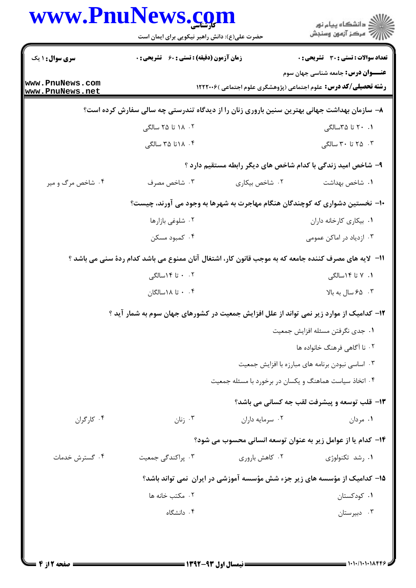| www.PnuNews.com                    | حضرت علی(ع): دانش راهبر نیکویی برای ایمان است                                                         |                                                        | ر<br>دانشڪاه پيام نور)<br>اڳ مرڪز آزمون وسنڊش                                                                        |
|------------------------------------|-------------------------------------------------------------------------------------------------------|--------------------------------------------------------|----------------------------------------------------------------------------------------------------------------------|
| <b>سری سوال : ۱ یک</b>             | <b>زمان آزمون (دقیقه) : تستی : 60 ٪ تشریحی : 0</b>                                                    |                                                        | تعداد سوالات : تستي : 30 ٪ تشريحي : 0                                                                                |
| www.PnuNews.com<br>www.PnuNews.net |                                                                                                       |                                                        | <b>عنـــوان درس:</b> جامعه شناسی جهان سوم<br><b>رشته تحصیلی/کد درس:</b> علوم اجتماعی (پژوهشگری علوم اجتماعی )۱۲۲۲۰۰۶ |
|                                    | ۸– سازمان بهداشت جهانی بهترین سنین باروری زنان را از دیدگاه تندرستی چه سالی سفارش کرده است؟           |                                                        |                                                                                                                      |
|                                    | ۰۲ ۱۸ تا ۲۵ سالگی                                                                                     |                                                        | ۰۱ ۲۰ تا ۳۵سالگی                                                                                                     |
|                                    | ۰۴ ۱۸ تا ۳۵ سالگی                                                                                     |                                                        | ۰۳ تا ۳۰ سالگی                                                                                                       |
|                                    |                                                                                                       |                                                        | ۹– شاخص امید زندگی با کدام شاخص های دیگر رابطه مستقیم دارد ؟                                                         |
| ۰۴ شاخص مرگ و میر                  | ۰۳ شاخص مصرف                                                                                          | ۰۲ شاخص بیکاری                                         | ٠١. شاخص بهداشت                                                                                                      |
|                                    | +ا– نخستین دشواری که کوچندگان هنگام مهاجرت به شهرها به وجود می آورند، چیست؟                           |                                                        |                                                                                                                      |
|                                    | ۰۲ شلوغی بازارها                                                                                      |                                                        | ٠١. بيكارى كارخانه داران                                                                                             |
|                                    | ۰۴ کمبود مسکن                                                                                         |                                                        | ۰۳ ازدیاد در اماکن عمومی                                                                                             |
|                                    | 11– لایه های مصرف کننده جامعه که به موجب قانون کار، اشتغال آنان ممنوع می باشد کدام ردهٔ سنی می باشد ؟ |                                                        |                                                                                                                      |
|                                    | ۰ . ۲ تا ۱۴سالگی                                                                                      |                                                        | ۱. ۷ تا ۱۴سالگی                                                                                                      |
|                                    | ۰ . تا ۱۸سالگان                                                                                       |                                                        | ۰۳ ه ۶۵ سال به بالا                                                                                                  |
|                                    | ۱۲- کدامیک از موارد زیر نمی تواند از علل افزایش جمعیت در کشورهای جهان سوم به شمار آید ؟               |                                                        |                                                                                                                      |
|                                    |                                                                                                       |                                                        | ٠١. جدى نگرفتن مسئله افزايش جمعيت                                                                                    |
|                                    |                                                                                                       |                                                        | ۰۲ نا آگاهی فرهنگ خانواده ها                                                                                         |
|                                    |                                                                                                       |                                                        | ۰۳ اساسی نبودن برنامه های مبارزه با افزایش جمعیت                                                                     |
|                                    |                                                                                                       | ۰۴ اتخاذ سیاست هماهنگ و یکسان در برخورد با مسئله جمعیت |                                                                                                                      |
|                                    |                                                                                                       |                                                        | 13- قلب توسعه و پیشرفت لقب جه کسانی می باشد؟                                                                         |
| ۰۴ کا <sub>ر</sub> گران            | ۰۳ زنان                                                                                               | ۰۲ سرمایه داران                                        | ۰۱ مردان                                                                                                             |
|                                    |                                                                                                       |                                                        | ۱۴- کدام یا از عوامل زیر به عنوان توسعه انسانی محسوب می شود؟                                                         |
| ۰۴ گسترش خدمات                     | ۰۳ پراکندگی جمعیت                                                                                     | ۰۲ کاهش باروری                                         | ۰۱ رشد تکنولوژی                                                                                                      |
|                                    |                                                                                                       |                                                        | ۱۵– کدامیک از مؤسسه های زیر جزء شش مؤسسه آموزشی در ایران نمی تواند باشد؟                                             |
|                                    | ۰۲ مکتب خانه ها                                                                                       |                                                        | ۰۱ کودکستان                                                                                                          |
|                                    | ۰۴ دانشگاه                                                                                            |                                                        | ۰۳ دبیرستان                                                                                                          |
|                                    |                                                                                                       |                                                        |                                                                                                                      |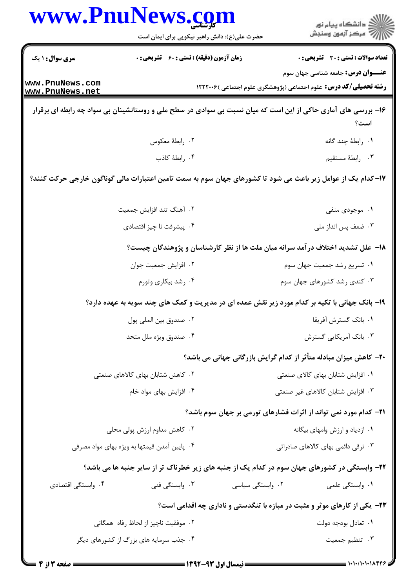|                                    | www.PnuNews.com                                                                                               |                                                                                   | ِ<br>∭ دانشڪاه پيام نور<br>∭ مرڪز آزمون وسنڊش |
|------------------------------------|---------------------------------------------------------------------------------------------------------------|-----------------------------------------------------------------------------------|-----------------------------------------------|
|                                    | حضرت علی(ع): دانش راهبر نیکویی برای ایمان است                                                                 |                                                                                   |                                               |
| سری سوال: ۱ یک                     | <b>زمان آزمون (دقیقه) : تستی : 60 ٪ تشریحی : 0</b>                                                            |                                                                                   | <b>تعداد سوالات : تستی : 30 ٪ تشریحی : 0</b>  |
| www.PnuNews.com<br>www.PnuNews.net |                                                                                                               | <b>رشته تحصیلی/کد درس:</b> علوم اجتماعی (پژوهشگری علوم اجتماعی )۱۲۲۲۰۰۶           | <b>عنـــوان درس:</b> جامعه شناسی جهان سوم     |
|                                    | ۱۶– بررسی های آماری حاکی از این است که میان نسبت بی سوادی در سطح ملی و روستانشینان بی سواد چه رابطه ای برقرار |                                                                                   | است؟                                          |
|                                    | ۰۲ رابطهٔ معکوس                                                                                               |                                                                                   | ٠١. رابطهٔ چند گانه                           |
|                                    | ۰۴ رابطهٔ کاذب                                                                                                |                                                                                   | ۰۳ رابطهٔ مستقیم                              |
|                                    | ۱۷–کدام یک از عوامل زیر باعث می شود تا کشورهای جهان سوم به سمت تامین اعتبارات مالی گوناگون خارجی حرکت کنند؟   |                                                                                   |                                               |
|                                    | ۰۲ آهنگ تند افزایش جمعیت                                                                                      |                                                                                   | ۰۱ موجودی منفی                                |
|                                    | ۴. پیشرفت نا چیز اقتصادی                                                                                      |                                                                                   | ۰۳ ضعف پس انداز ملي                           |
|                                    | ۱۸– علل تشدید اختلاف در آمد سرانه میان ملت ها از نظر کارشناسان و پژوهندگان چیست؟                              |                                                                                   |                                               |
|                                    | ٠٢ افزايش جمعيت جوان                                                                                          |                                                                                   | ۰۱ تسریع رشد جمعیت جهان سوم                   |
|                                    | ۰۴ رشد بیکاری وتورم                                                                                           |                                                                                   | ۰۳ کندی رشد کشورهای جهان سوم                  |
|                                    | ۱۹- بانک جهانی با تکیه بر کدام مورد زیر نقش عمده ای در مدیریت و کمک های چند سویه به عهده دارد؟                |                                                                                   |                                               |
|                                    | ٠٢ صندوق بين الملي پول                                                                                        |                                                                                   | ۰۱ بانک گسترش آفریقا                          |
|                                    | ۰۴ صندوق ويژه ملل متحد                                                                                        |                                                                                   | ۰۳ بانک آمریکایی گسترش                        |
|                                    |                                                                                                               | ۲۰- کاهش میزان مبادله متأثر از کدام گرایش بازرگانی جهانی می باشد؟                 |                                               |
|                                    | ۰۲ کاهش شتابان بهای کالاهای صنعتی                                                                             | ۰۱ افزایش شتابان بهای کالای صنعتی                                                 |                                               |
|                                    | ۰۴ افزایش بهای مواد خام                                                                                       |                                                                                   | ٠٣ افزايش شتابان كالاهاى غير صنعتى            |
|                                    |                                                                                                               | <b>۲۱</b> - کدام مورد نمی تواند از اثرات فشارهای تورمی بر جهان سوم باشد؟          |                                               |
|                                    | ۰۲ کاهش مداوم ارزش پولی محلی                                                                                  | ۰۱ ازدیاد و ارزش وامهای بیگانه                                                    |                                               |
|                                    | ۰۴ پایین آمدن قیمتها به ویژه بهای مواد مصرفی                                                                  |                                                                                   | ۰۳ ترقی دائمی بهای کالاهای صادراتی            |
|                                    | ۲۲- وابستگی در کشورهای جهان سوم در کدام یک از جنبه های زیر خطرناک تر از سایر جنبه ها می باشد؟                 |                                                                                   |                                               |
| ۰۴ وابستگی اقتصادی                 | ۰۳ وابستگی فنی                                                                                                | ۰۲ وابستگی سیاسی                                                                  | ۰۱ وابستگی علمی                               |
|                                    |                                                                                                               | <b>۲۳</b> - یکی از کارهای موثر و مثبت در مبازه با تنگدستی و ناداری چه اقدامی است؟ |                                               |
|                                    | ٠٢ موفقيت ناچيز از لحاظ رفاه  همگاني                                                                          |                                                                                   | ۰۱ تعادل بودجه دولت                           |
|                                    | ۰۴ جذب سرمایه های بزرگ از کشورهای دیگر                                                                        |                                                                                   | ۰۳ تنظیم جمعیت                                |
|                                    |                                                                                                               |                                                                                   |                                               |